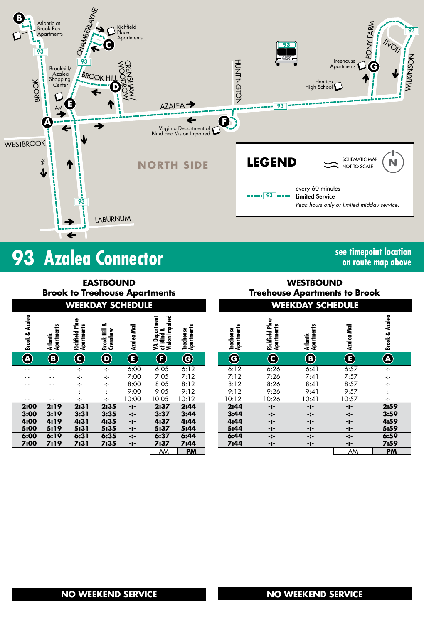

# **93** Azalea Connector **See timepoint location**

**on route map above**

| <b>EASTBOUND</b><br><b>Brook to Treehouse Apartments</b><br><b>WEEKDAY SCHEDULE</b> |                  |                        |                               |                                     |             |                                                | <b>WESTBOUND</b><br><b>Treehouse Apartments to Brook</b><br><b>WEEKDAY SCHEDULE</b> |  |                                |                               |                        |                  |                        |
|-------------------------------------------------------------------------------------|------------------|------------------------|-------------------------------|-------------------------------------|-------------|------------------------------------------------|-------------------------------------------------------------------------------------|--|--------------------------------|-------------------------------|------------------------|------------------|------------------------|
|                                                                                     |                  |                        |                               |                                     |             |                                                |                                                                                     |  |                                |                               |                        |                  |                        |
|                                                                                     | Brook & Azalea   | Atlantic<br>Apartments | Richfield Place<br>Apartments | ఱ<br>Ē<br>Brook Hill<br>Crenshaw    | Azalea Mall | Vision Impaired<br>VA Department<br>of Blind & | Treehouse<br>Apartments                                                             |  | <b>Apartments</b><br>Treehouse | Richfield Place<br>Apartments | Atlantic<br>Apartments | Azalea Mall      | Azalea<br>Brook &      |
|                                                                                     | $\bigcircledast$ | $\bigcirc$             | $\bf{C}$                      | $\bm{\mathsf{\Theta}}$              | $\bf \bf G$ | $\bigcirc$                                     | $\bf G$                                                                             |  | $\bf \Theta$                   | $\mathbf{\Theta}$             | $\circledast$          | $\bf \bm \Theta$ | $\widehat{\mathbf{A}}$ |
|                                                                                     | ÷                | ÷                      | ÷                             | ÷j÷                                 | 6:00        | 6:05                                           | 6:12                                                                                |  | 6:12                           | 6:26                          | 6:41                   | 6:57             | ÷                      |
|                                                                                     | ÷                | ÷                      | ÷                             | ÷                                   | 7:00        | 7:05                                           | 7:12                                                                                |  | 7:12                           | 7:26                          | 7:41                   | 7:57             | ÷                      |
|                                                                                     | -1-              | ÷                      | ÷                             | ÷                                   | 8:00        | 8:05                                           | 8:12                                                                                |  | 8:12                           | 8:26                          | 8:41                   | 8:57             | ÷                      |
|                                                                                     | ÷                | ÷                      | ÷                             | ÷                                   | 9:00        | 9:05                                           | 9:12                                                                                |  | 9:12                           | 9:26                          | 9:41                   | 9:57             | -1-                    |
|                                                                                     | ÷                | ÷                      | ÷                             | $\mathcal{L}^{\text{L}}_{\text{L}}$ | 10:00       | 10:05                                          | 10:12                                                                               |  | 10:12                          | 10:26                         | 10:41                  | 10:57            | ÷                      |
|                                                                                     | 2:00             | 2:19                   | 2:31                          | 2:35                                | $-2-$       | 2:37                                           | 2:44                                                                                |  | 2:44                           | -:-                           | $-2-$                  | $-:-$            | 2:1                    |
|                                                                                     | 3:00             | 3:19                   | 3:31                          | 3:35                                | $-2-$       | 3:37                                           | 3:44                                                                                |  | 3:44                           | $-2-$                         | $-2-$                  | $-:-$            | 3:                     |
|                                                                                     | 4:00             | 4:19                   | 4:31                          | 4:35                                | $-2-$       | 4:37                                           | 4:44                                                                                |  | 4:44                           | -:-                           | -:-                    | $-2-$            | 4:                     |
|                                                                                     | 5:00             | 5:19                   | 5:31                          | 5:35                                | -:-         | 5:37                                           | 5:44                                                                                |  | 5:44                           | -:-                           | -:-                    | $-:-$            | 5:                     |
|                                                                                     | 6:00             | 6:19                   | 6:31                          | 6:35                                | $-2-$       | 6:37                                           | 6:44                                                                                |  | 6:44                           | $-2-$                         | $-2-$                  | -:-              | 6:                     |
|                                                                                     | 7:00             | 7:19                   | 7:31                          | 7:35                                | -:-         | 7:37                                           | 7:44                                                                                |  | 7:44                           | -:-                           | $-:-$                  | $-:-$            | 7:                     |
|                                                                                     |                  |                        |                               |                                     |             | AM                                             | <b>PM</b>                                                                           |  |                                |                               |                        | AM               | P                      |

## **WESTBOUND Treehouse Apartments to Brook**

|                                        |                         |                         |                                      | WEEKDAT                 | SCHEDULE                |                           |
|----------------------------------------|-------------------------|-------------------------|--------------------------------------|-------------------------|-------------------------|---------------------------|
| of Blind &<br>Vision Impaired          | Treehouse<br>Apartments | Treehouse<br>Apartments | <b>Richfield Place</b><br>Apartments | Atlantic<br>Apartments  | Azalea Mall             | <b>Brook &amp; Azalea</b> |
| $\overline{\mathbf{E}}$                | $\widehat{\mathbf{G}}$  | $\widehat{\mathbf{G}}$  | C                                    | $\overline{\mathbf{B}}$ | $\overline{\textbf{E}}$ | $\widehat{\mathbf{A}}$    |
| $\overline{.05}$                       | 6:12                    | 6:12                    | 6:26                                 | 6:41                    | 6:57                    | ÷                         |
| $\frac{.05}{.05}$<br>$\frac{.05}{.05}$ | 7:12                    | 7:12                    | 7:26                                 | 7:41                    | 7:57                    | ÷                         |
|                                        | 8:12                    | 8:12                    | 8:26                                 | 8:41                    | 8:57                    | ÷                         |
|                                        | 9:12                    | 9:12                    | 9:26                                 | 9:41                    | 9:57                    | ÷                         |
| :05                                    | 10:12                   | 10:12                   | 10:26                                | 10:41                   | 10:57                   | ÷                         |
| :37<br>:37                             | 2:44                    | 2:44                    | -:-                                  | -:-                     | -:-                     | 2:59                      |
|                                        | 3:44                    | 3:44                    | -:-                                  | -:-                     | -:-                     | 3:59                      |
|                                        | 4:44                    | 4:44                    | -:-                                  |                         | -:-                     | 4:59                      |
|                                        | 5:44                    | 5:44                    | -:-                                  |                         |                         | 5:59                      |
| :37<br><u>:37</u><br>:37               | 6:44                    | 6:44                    | -:-                                  | -:-                     | -:-                     | 6:59                      |
| :37<br>AM                              | 7:44                    | 7:44                    | -:-                                  | -:-                     | -:-                     | 7:59                      |
|                                        | <b>PM</b>               |                         |                                      |                         | <b>AM</b>               | <b>PM</b>                 |